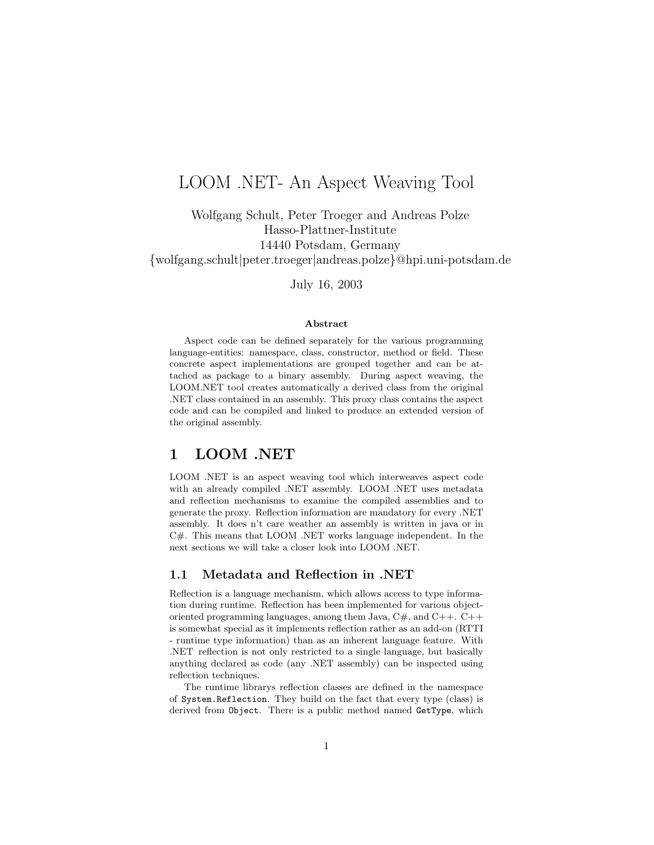# LOOM .NET- An Aspect Weaving Tool

Wolfgang Schult, Peter Troeger and Andreas Polze Hasso-Plattner-Institute 14440 Potsdam, Germany {wolfgang.schult|peter.troeger|andreas.polze}@hpi.uni-potsdam.de

July 16, 2003

#### Abstract

Aspect code can be defined separately for the various programming language-entities: namespace, class, constructor, method or field. These concrete aspect implementations are grouped together and can be attached as package to a binary assembly. During aspect weaving, the LOOM.NET tool creates automatically a derived class from the original .NET class contained in an assembly. This proxy class contains the aspect code and can be compiled and linked to produce an extended version of the original assembly.

### 1 LOOM .NET

LOOM .NET is an aspect weaving tool which interweaves aspect code with an already compiled .NET assembly. LOOM .NET uses metadata and reflection mechanisms to examine the compiled assemblies and to generate the proxy. Reflection information are mandatory for every .NET assembly. It does n't care weather an assembly is written in java or in C#. This means that LOOM .NET works language independent. In the next sections we will take a closer look into LOOM .NET.

#### 1.1 Metadata and Reflection in .NET

Reflection is a language mechanism, which allows access to type information during runtime. Reflection has been implemented for various objectoriented programming languages, among them Java,  $C#$ , and  $C++$ .  $C++$ is somewhat special as it implements reflection rather as an add-on (RTTI - runtime type information) than as an inherent language feature. With .NET reflection is not only restricted to a single language, but basically anything declared as code (any .NET assembly) can be inspected using reflection techniques.

The runtime librarys reflection classes are defined in the namespace of System.Reflection. They build on the fact that every type (class) is derived from Object. There is a public method named GetType, which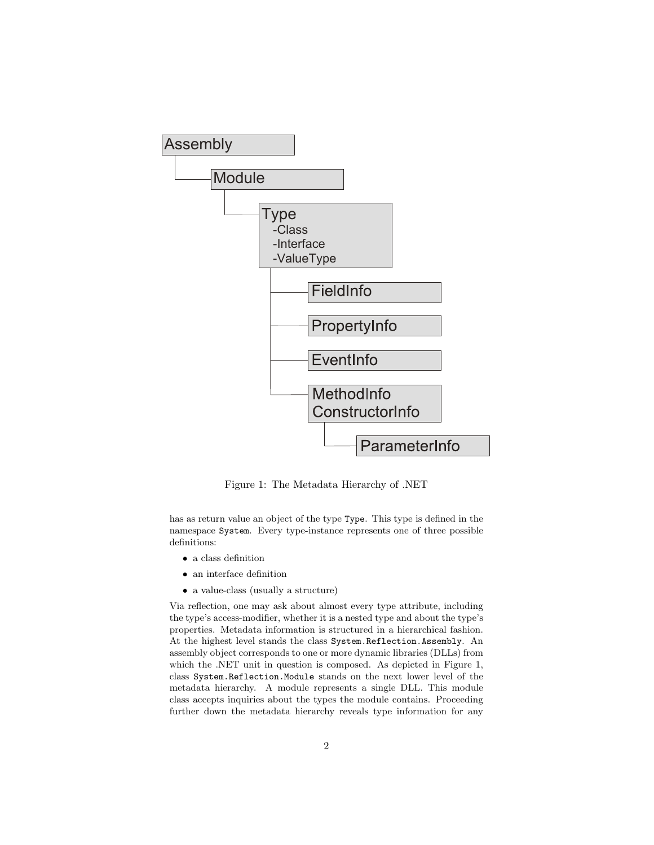

Figure 1: The Metadata Hierarchy of .NET

has as return value an object of the type Type. This type is defined in the namespace System. Every type-instance represents one of three possible definitions:

- a class definition
- an interface definition
- a value-class (usually a structure)

Via reflection, one may ask about almost every type attribute, including the type's access-modifier, whether it is a nested type and about the type's properties. Metadata information is structured in a hierarchical fashion. At the highest level stands the class System.Reflection.Assembly. An assembly object corresponds to one or more dynamic libraries (DLLs) from which the .NET unit in question is composed. As depicted in Figure 1, class System.Reflection.Module stands on the next lower level of the metadata hierarchy. A module represents a single DLL. This module class accepts inquiries about the types the module contains. Proceeding further down the metadata hierarchy reveals type information for any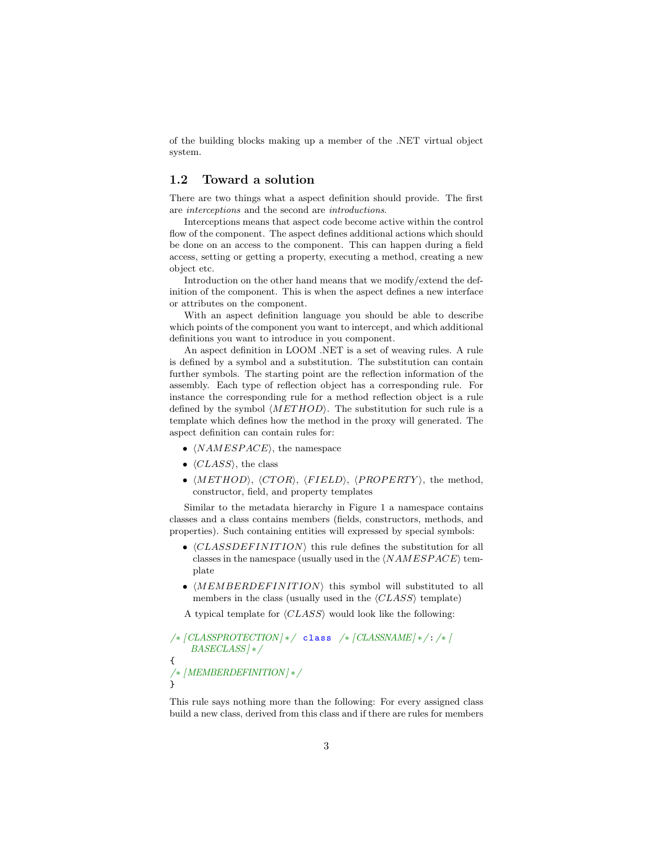of the building blocks making up a member of the .NET virtual object system.

### 1.2 Toward a solution

There are two things what a aspect definition should provide. The first are interceptions and the second are introductions.

Interceptions means that aspect code become active within the control flow of the component. The aspect defines additional actions which should be done on an access to the component. This can happen during a field access, setting or getting a property, executing a method, creating a new object etc.

Introduction on the other hand means that we modify/extend the definition of the component. This is when the aspect defines a new interface or attributes on the component.

With an aspect definition language you should be able to describe which points of the component you want to intercept, and which additional definitions you want to introduce in you component.

An aspect definition in LOOM .NET is a set of weaving rules. A rule is defined by a symbol and a substitution. The substitution can contain further symbols. The starting point are the reflection information of the assembly. Each type of reflection object has a corresponding rule. For instance the corresponding rule for a method reflection object is a rule defined by the symbol  $\langle METHOD \rangle$ . The substitution for such rule is a template which defines how the method in the proxy will generated. The aspect definition can contain rules for:

- $\langle NAMESPACE \rangle$ , the namespace
- $\langle CLASS \rangle$ , the class
- $\langle METHOD\rangle, \langle CTOR\rangle, \langle FIELD\rangle, \langle PROPERTY\rangle,$  the method, constructor, field, and property templates

Similar to the metadata hierarchy in Figure 1 a namespace contains classes and a class contains members (fields, constructors, methods, and properties). Such containing entities will expressed by special symbols:

- $\langle CLASSDEFINITION \rangle$  this rule defines the substitution for all classes in the namespace (usually used in the  $\langle NAMESPACE \rangle$  template
- $\langle MEMBERDEFINITION \rangle$  this symbol will substituted to all members in the class (usually used in the  $\langle CLASS \rangle$  template)

A typical template for  $\langle CLASS \rangle$  would look like the following:

```
/* [CLASSPROTECTION] * / class /* [CLASSNAME] * /: /* [
   BASECLASS] ∗/
{
/∗ [MEMBERDEFINITION] ∗/
}
```
This rule says nothing more than the following: For every assigned class build a new class, derived from this class and if there are rules for members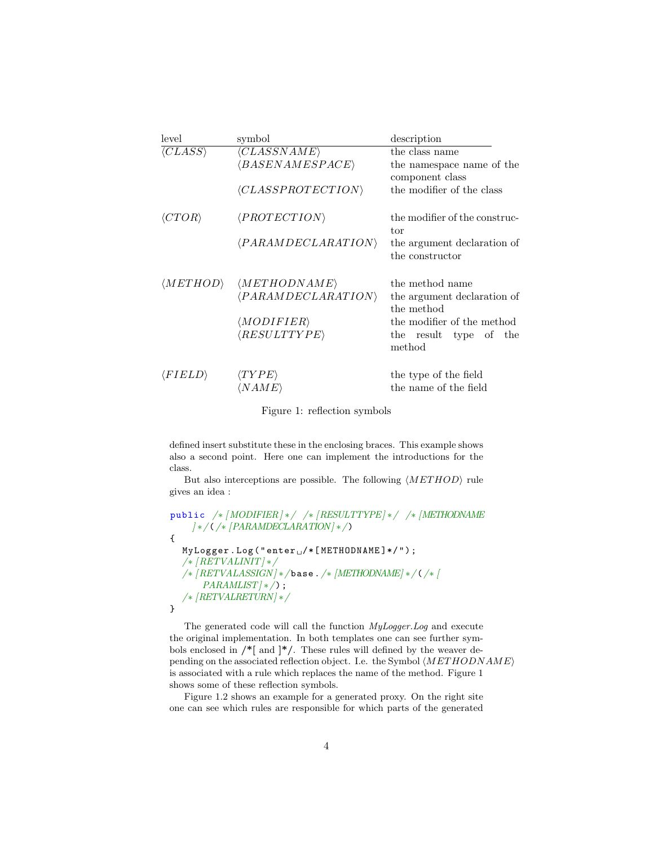| level                   | symbol                            | description                   |
|-------------------------|-----------------------------------|-------------------------------|
| $\langle CLASS \rangle$ | $\langle CLASSNAME \rangle$       | the class name                |
|                         | $\langle BASENAMESPACE \rangle$   | the namespace name of the     |
|                         |                                   | component class               |
|                         | $\langle CLASSPROTECTION \rangle$ | the modifier of the class     |
| $\langle CTOR \rangle$  | $\langle PROTECTION\rangle$       | the modifier of the construc- |
|                         |                                   | tor                           |
|                         | $\langle PARAMDECLARATION\rangle$ | the argument declaration of   |
|                         |                                   | the constructor               |
| $\langle METHOD\rangle$ | $\langle METHODNAME\rangle$       | the method name               |
|                         | $\langle PARAMDECLARATION\rangle$ | the argument declaration of   |
|                         |                                   | the method                    |
|                         | $\langle MODIFIER\rangle$         | the modifier of the method    |
|                         | $\langle RESULTYPE \rangle$       | the result type of<br>the     |
|                         |                                   | method                        |
| $\langle FIELD \rangle$ | $\langle TYPE\rangle$             | the type of the field         |
|                         | 'N AME                            | the name of the field         |

Figure 1: reflection symbols

defined insert substitute these in the enclosing braces. This example shows also a second point. Here one can implement the introductions for the class.

But also interceptions are possible. The following  $\langle METHOD \rangle$  rule gives an idea :

```
public /∗ [MODIFIER] ∗/ /∗ [RESULTTYPE] ∗/ /∗ [METHODNAME
      ] ∗/(/∗ [PARAMDECLARATION] ∗/)
{
   \texttt{MyLogger.Log("enter<math display="inline">\texttt{/*/T}(\texttt{METHODNAME})*\texttt{/T})</math> ;/∗ [RETVALINIT] ∗/
   \hat{N}/* [RETVALASSIGN] * \hat{N} base . \hat{N}/* [METHODNAME] * \hat{N}/* [ABSTY]PARAMLIST \rightarrow \rightarrow ;
    /∗ [RETVALRETURN] ∗/
}
```
The generated code will call the function MyLogger.Log and execute the original implementation. In both templates one can see further symbols enclosed in  $\mathcal{I}$  | and  $\mathcal{I}$  |  $\mathcal{I}$  /. These rules will defined by the weaver depending on the associated reflection object. I.e. the Symbol  $\langle METHODNAME\rangle$ is associated with a rule which replaces the name of the method. Figure 1 shows some of these reflection symbols.

Figure 1.2 shows an example for a generated proxy. On the right site one can see which rules are responsible for which parts of the generated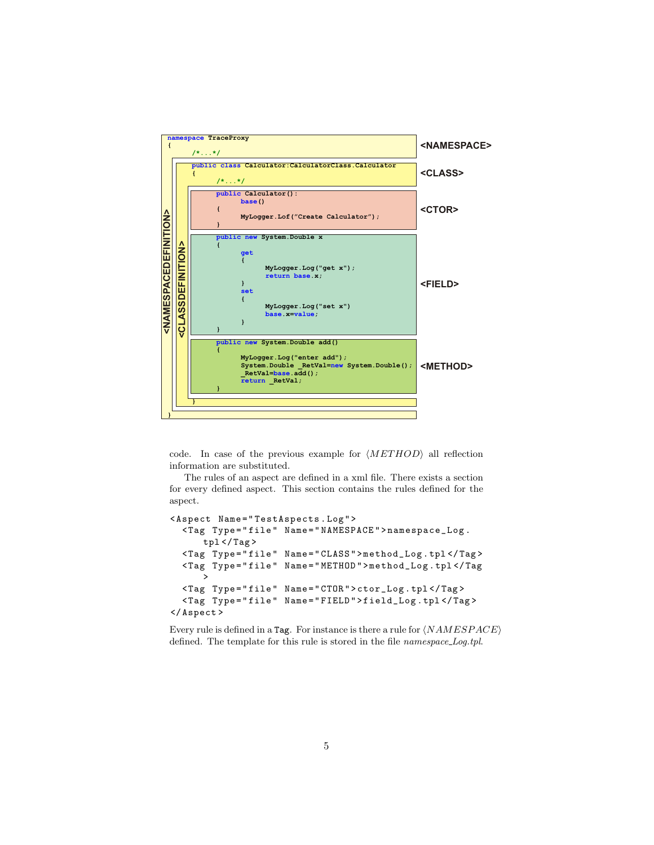

code. In case of the previous example for  $\langle METHOD\rangle$  all reflection information are substituted.

The rules of an aspect are defined in a xml file. There exists a section for every defined aspect. This section contains the rules defined for the aspect.

```
< Aspect Name = " TestAspects . Log " >
  < Tag Type = " file " Name = " NAMESPACE " > namespace_Log .
       tp1 </ Tag>
  < Tag Type = " file " Name = " CLASS " > method_Log . tpl </ Tag >
  < Tag Type = " file " Name = " METHOD " > method_Log . tpl </ Tag
       >
  < Tag Type = " file " Name = " CTOR " > ctor_Log . tpl </ Tag >
  < Tag Type = " file " Name = " FIELD " > field_Log . tpl </ Tag >
</ Aspect >
```
Every rule is defined in a Tag. For instance is there a rule for  $\langle NAMESPACE \rangle$ defined. The template for this rule is stored in the file *namespace\_Log.tpl.*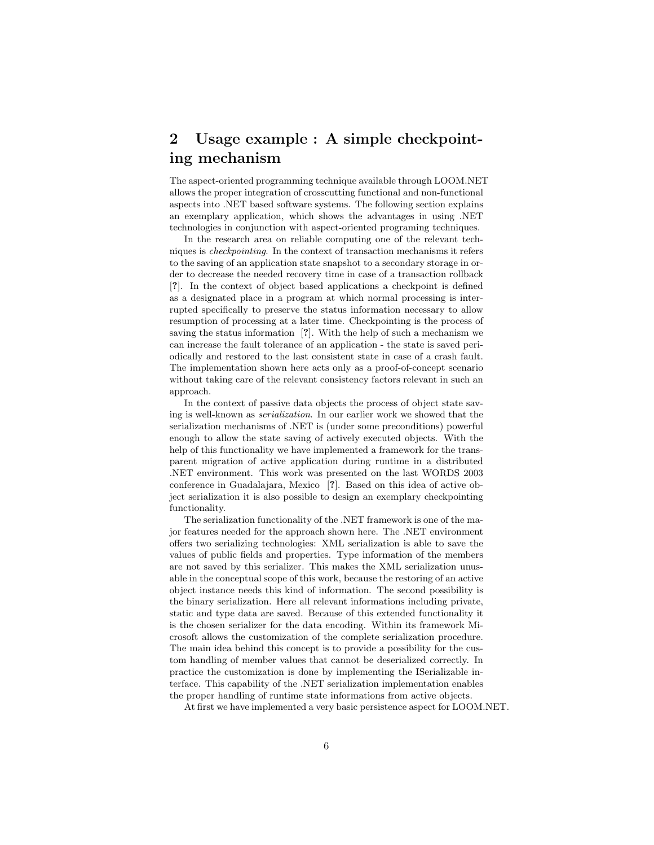## 2 Usage example : A simple checkpointing mechanism

The aspect-oriented programming technique available through LOOM.NET allows the proper integration of crosscutting functional and non-functional aspects into .NET based software systems. The following section explains an exemplary application, which shows the advantages in using .NET technologies in conjunction with aspect-oriented programing techniques.

In the research area on reliable computing one of the relevant techniques is checkpointing. In the context of transaction mechanisms it refers to the saving of an application state snapshot to a secondary storage in order to decrease the needed recovery time in case of a transaction rollback [?]. In the context of object based applications a checkpoint is defined as a designated place in a program at which normal processing is interrupted specifically to preserve the status information necessary to allow resumption of processing at a later time. Checkpointing is the process of saving the status information [?]. With the help of such a mechanism we can increase the fault tolerance of an application - the state is saved periodically and restored to the last consistent state in case of a crash fault. The implementation shown here acts only as a proof-of-concept scenario without taking care of the relevant consistency factors relevant in such an approach.

In the context of passive data objects the process of object state saving is well-known as serialization. In our earlier work we showed that the serialization mechanisms of .NET is (under some preconditions) powerful enough to allow the state saving of actively executed objects. With the help of this functionality we have implemented a framework for the transparent migration of active application during runtime in a distributed .NET environment. This work was presented on the last WORDS 2003 conference in Guadalajara, Mexico [?]. Based on this idea of active object serialization it is also possible to design an exemplary checkpointing functionality.

The serialization functionality of the .NET framework is one of the major features needed for the approach shown here. The .NET environment offers two serializing technologies: XML serialization is able to save the values of public fields and properties. Type information of the members are not saved by this serializer. This makes the XML serialization unusable in the conceptual scope of this work, because the restoring of an active object instance needs this kind of information. The second possibility is the binary serialization. Here all relevant informations including private, static and type data are saved. Because of this extended functionality it is the chosen serializer for the data encoding. Within its framework Microsoft allows the customization of the complete serialization procedure. The main idea behind this concept is to provide a possibility for the custom handling of member values that cannot be deserialized correctly. In practice the customization is done by implementing the ISerializable interface. This capability of the .NET serialization implementation enables the proper handling of runtime state informations from active objects.

At first we have implemented a very basic persistence aspect for LOOM.NET.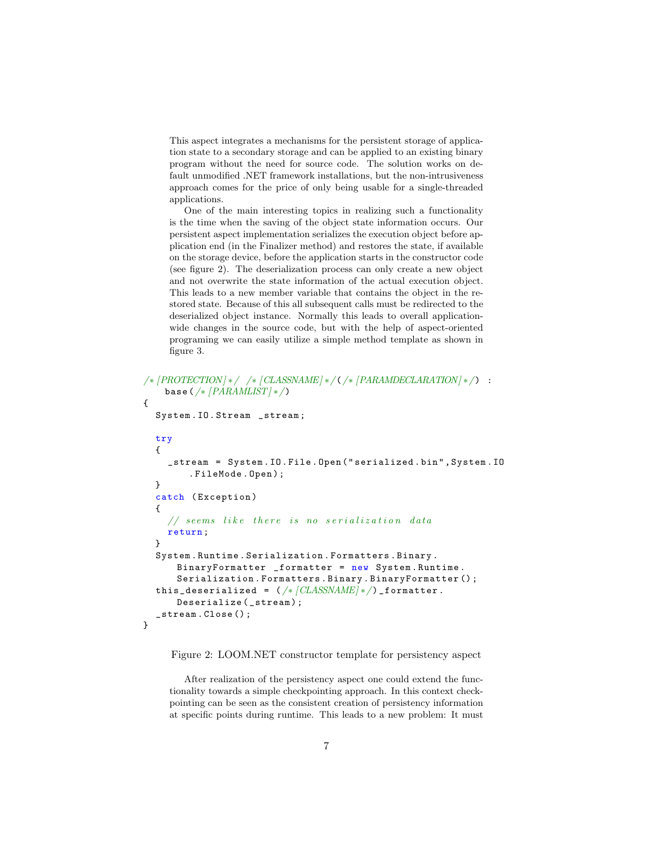This aspect integrates a mechanisms for the persistent storage of application state to a secondary storage and can be applied to an existing binary program without the need for source code. The solution works on default unmodified .NET framework installations, but the non-intrusiveness approach comes for the price of only being usable for a single-threaded applications.

One of the main interesting topics in realizing such a functionality is the time when the saving of the object state information occurs. Our persistent aspect implementation serializes the execution object before application end (in the Finalizer method) and restores the state, if available on the storage device, before the application starts in the constructor code (see figure 2). The deserialization process can only create a new object and not overwrite the state information of the actual execution object. This leads to a new member variable that contains the object in the restored state. Because of this all subsequent calls must be redirected to the deserialized object instance. Normally this leads to overall applicationwide changes in the source code, but with the help of aspect-oriented programing we can easily utilize a simple method template as shown in figure 3.

```
/∗ [PROTECTION] ∗/ /∗ [CLASSNAME] ∗/(/∗ [PARAMDECLARATION] ∗/) :
    base \frac{\sqrt{*} \left[ PARAMLIST \right] *}{P}{
  System . IO . Stream _stream ;
  try
  {
     _stream = System . IO . File . Open ( " serialized . bin " , System . IO
         . FileMode . Open ) ;
  }
  catch ( Exception )
  {
     // seems like there is no serialization data
     return ;
  }
  System . Runtime . Serialization . Formatters . Binary .
      BinaryFormatter _formatter = new System . Runtime .
       Serialization . Formatters . Binary . BinaryFormatter () ;
  this_deserialized = (\sqrt{*}/\text{CLASSNAME})*/) _formatter.
       Deserialize (_stream);
  _stream . Close () ;
}
```
Figure 2: LOOM.NET constructor template for persistency aspect

After realization of the persistency aspect one could extend the functionality towards a simple checkpointing approach. In this context checkpointing can be seen as the consistent creation of persistency information at specific points during runtime. This leads to a new problem: It must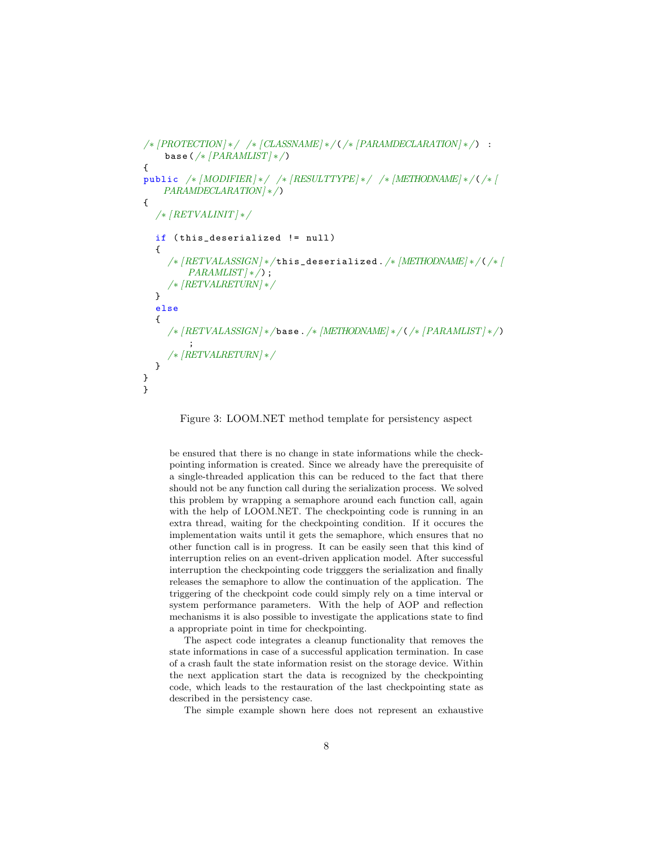```
/∗ [PROTECTION] ∗/ /∗ [CLASSNAME] ∗/(/∗ [PARAMDECLARATION] ∗/) :
    base \frac{\sqrt{*} \left[ PARAMLIST \right] *}{P}{
public /* [MODIFIER]*/ /* [RESULTTYPE]*/ /* [METHODNAME]*/(/* [PARAMDECLARATION] ∗/)
{
  /∗ [RETVALINIT] ∗/
  if (this_deserialized != null)
  {
     /* [RETVALASSIGN] */this_deserialized./* [METHODNAME] */(/*)]
         PARAMLIST \rightarrow \rightarrow ;
     /∗ [RETVALRETURN] ∗/
  }
  else
  {
     /∗ [RETVALASSIGN] ∗/ base ./∗ [METHODNAME] ∗/(/∗ [PARAMLIST] ∗/)
         ;
     /∗ [RETVALRETURN] ∗/
  }
}
}
```
Figure 3: LOOM.NET method template for persistency aspect

be ensured that there is no change in state informations while the checkpointing information is created. Since we already have the prerequisite of a single-threaded application this can be reduced to the fact that there should not be any function call during the serialization process. We solved this problem by wrapping a semaphore around each function call, again with the help of LOOM.NET. The checkpointing code is running in an extra thread, waiting for the checkpointing condition. If it occures the implementation waits until it gets the semaphore, which ensures that no other function call is in progress. It can be easily seen that this kind of interruption relies on an event-driven application model. After successful interruption the checkpointing code trigggers the serialization and finally releases the semaphore to allow the continuation of the application. The triggering of the checkpoint code could simply rely on a time interval or system performance parameters. With the help of AOP and reflection mechanisms it is also possible to investigate the applications state to find a appropriate point in time for checkpointing.

The aspect code integrates a cleanup functionality that removes the state informations in case of a successful application termination. In case of a crash fault the state information resist on the storage device. Within the next application start the data is recognized by the checkpointing code, which leads to the restauration of the last checkpointing state as described in the persistency case.

The simple example shown here does not represent an exhaustive